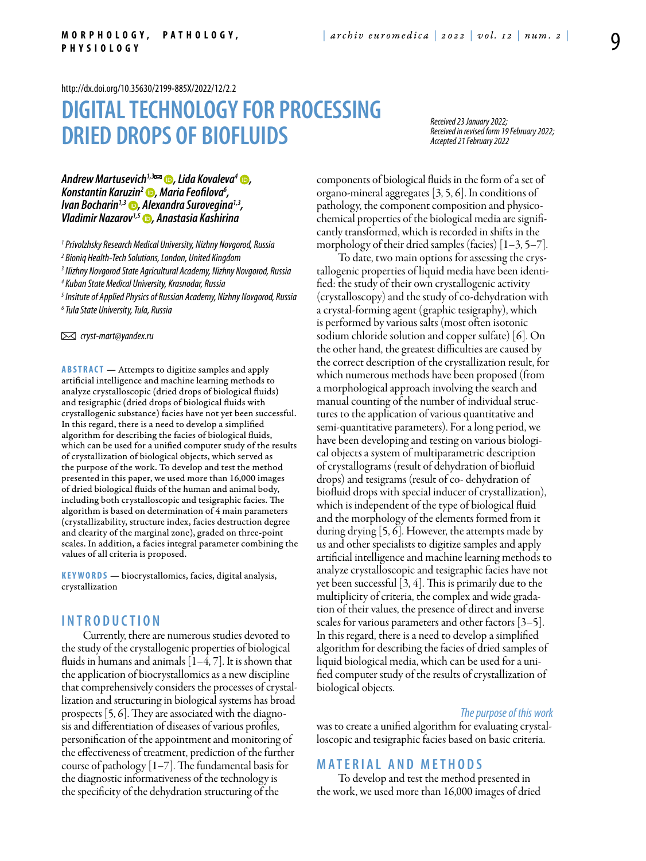<http://dx.doi.org/10.35630/2199-885X/2022/12/2.2>

# **DIGITAL TECHNOLOGY FOR PROCESSING DRIED DROPS OF BIOFLUIDS**

*Received 23 January 2022; Received in revised form 19 February 2022; Accepted 21 February 2022*

*[Andrew Martusevich](https://orcid.org/0000-0002-0818-5316)1,3 , [Lida Kovaleva](https://orcid.org/0000-0001-5515-6641)4 , [Konstantin Karuzin2](https://orcid.org/0000-0002-2754-8127) , Maria Feofilova6 , [Ivan Bocharin](https://orcid.org/0000-0002-4961-5351)1,3 , Alexandra Surovegina1,3, [Vladimir Nazarov](https://orcid.org/0000-0002-7197-2048)1,5 , Anastasia Kashirina*

*1 Privolzhsky Research Medical University, Nizhny Novgorod, Russia* 

*2 Bioniq Health-Tech Solutions, London, United Kingdom*

*3 Nizhny Novgorod State Agricultural Academy, Nizhny Novgorod, Russia*

*4 Kuban State Medical University, Krasnodar, Russia*

*5 Insitute of Applied Physics of Russian Academy, Nizhny Novgorod, Russia*

*6 Tula State University, Tula, Russia*

 *cryst-mart@yandex.ru* 

**Abstract** — Attempts to digitize samples and apply artificial intelligence and machine learning methods to analyze crystalloscopic (dried drops of biological fluids) and tesigraphic (dried drops of biological fluids with crystallogenic substance) facies have not yet been successful. In this regard, there is a need to develop a simplified algorithm for describing the facies of biological fluids, which can be used for a unified computer study of the results of crystallization of biological objects, which served as the purpose of the work. To develop and test the method presented in this paper, we used more than 16,000 images of dried biological fluids of the human and animal body, including both crystalloscopic and tesigraphic facies. The algorithm is based on determination of 4 main parameters (crystallizability, structure index, facies destruction degree and clearity of the marginal zone), graded on three-point scales. In addition, a facies integral parameter combining the values of all criteria is proposed.

**K eywords** — biocrystallomics, facies, digital analysis, crystallization

## **I n t r o ducti o n**

Currently, there are numerous studies devoted to the study of the crystallogenic properties of biological fluids in humans and animals  $[1-4, 7]$ . It is shown that the application of biocrystallomics as a new discipline that comprehensively considers the processes of crystallization and structuring in biological systems has broad prospects [5, 6]. They are associated with the diagnosis and differentiation of diseases of various profiles, personification of the appointment and monitoring of the effectiveness of treatment, prediction of the further course of pathology  $\lfloor 1-7 \rfloor$ . The fundamental basis for the diagnostic informativeness of the technology is the specificity of the dehydration structuring of the

components of biological fluids in the form of a set of organo-mineral aggregates [3, 5, 6]. In conditions of pathology, the component composition and physicochemical properties of the biological media are significantly transformed, which is recorded in shifts in the morphology of their dried samples (facies)  $[1-3, 5-7]$ .

To date, two main options for assessing the crystallogenic properties of liquid media have been identified: the study of their own crystallogenic activity (crystalloscopy) and the study of co-dehydration with a crystal-forming agent (graphic tesigraphy), which is performed by various salts (most often isotonic sodium chloride solution and copper sulfate) [6]. On the other hand, the greatest difficulties are caused by the correct description of the crystallization result, for which numerous methods have been proposed (from a morphological approach involving the search and manual counting of the number of individual structures to the application of various quantitative and semi-quantitative parameters). For a long period, we have been developing and testing on various biological objects a system of multiparametric description of crystallograms (result of dehydration of biofluid drops) and tesigrams (result of co- dehydration of biofluid drops with special inducer of crystallization), which is independent of the type of biological fluid and the morphology of the elements formed from it during drying [5, 6]. However, the attempts made by us and other specialists to digitize samples and apply artificial intelligence and machine learning methods to analyze crystalloscopic and tesigraphic facies have not yet been successful [3, 4]. This is primarily due to the multiplicity of criteria, the complex and wide gradation of their values, the presence of direct and inverse scales for various parameters and other factors [3–5]. In this regard, there is a need to develop a simplified algorithm for describing the facies of dried samples of liquid biological media, which can be used for a unified computer study of the results of crystallization of biological objects.

#### *The purpose of this work*

was to create a unified algorithm for evaluating crystalloscopic and tesigraphic facies based on basic criteria.

## **Mat e rial a n d me t h o d s**

To develop and test the method presented in the work, we used more than 16,000 images of dried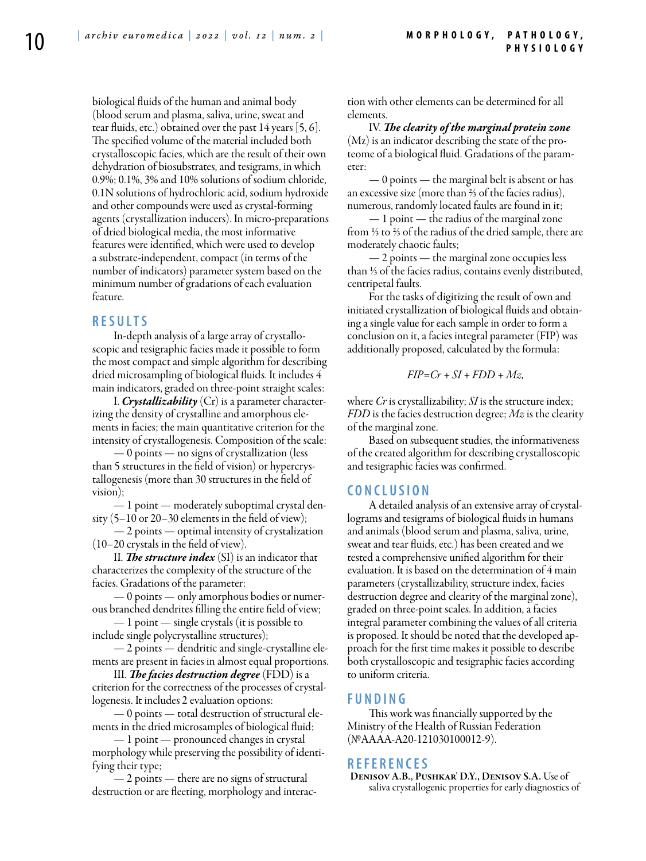biological fluids of the human and animal body (blood serum and plasma, saliva, urine, sweat and tear fluids, etc.) obtained over the past 14 years [5, 6]. The specified volume of the material included both crystalloscopic facies, which are the result of their own dehydration of biosubstrates, and tesigrams, in which 0.9%; 0.1%, 3% and 10% solutions of sodium chloride, 0.1N solutions of hydrochloric acid, sodium hydroxide and other compounds were used as crystal-forming agents (crystallization inducers). In micro-preparations of dried biological media, the most informative features were identified, which were used to develop a substrate-independent, compact (in terms of the number of indicators) parameter system based on the minimum number of gradations of each evaluation feature.

## **R e s ult s**

In-depth analysis of a large array of crystalloscopic and tesigraphic facies made it possible to form the most compact and simple algorithm for describing dried microsampling of biological fluids. It includes 4 main indicators, graded on three-point straight scales:

I. *Crystallizability* (Cr) is a parameter characterizing the density of crystalline and amorphous elements in facies; the main quantitative criterion for the intensity of crystallogenesis. Composition of the scale:

— 0 points — no signs of crystallization (less than 5 structures in the field of vision) or hypercrystallogenesis (more than 30 structures in the field of vision);

— 1 point — moderately suboptimal crystal density (5–10 or 20–30 elements in the field of view);

— 2 points — optimal intensity of crystalization (10–20 crystals in the field of view).

II. *The structure index* (SI) is an indicator that characterizes the complexity of the structure of the facies. Gradations of the parameter:

— 0 points — only amorphous bodies or numerous branched dendrites filling the entire field of view;

— 1 point — single crystals (it is possible to include single polycrystalline structures);

— 2 points — dendritic and single-crystalline elements are present in facies in almost equal proportions.

III. *The facies destruction degree* (FDD) is a criterion for the correctness of the processes of crystallogenesis. It includes 2 evaluation options:

 $-0$  points  $-$  total destruction of structural elements in the dried microsamples of biological fluid;

— 1 point — pronounced changes in crystal morphology while preserving the possibility of identifying their type;

— 2 points — there are no signs of structural destruction or are fleeting, morphology and interaction with other elements can be determined for all elements.

IV. *The clearity of the marginal protein zone* (Mz) is an indicator describing the state of the proteome of a biological fluid. Gradations of the parameter:

— 0 points — the marginal belt is absent or has an excessive size (more than ⅔ of the facies radius), numerous, randomly located faults are found in it;

— 1 point — the radius of the marginal zone from ⅓ to ⅔ of the radius of the dried sample, there are moderately chaotic faults;

— 2 points — the marginal zone occupies less than ⅓ of the facies radius, contains evenly distributed, centripetal faults.

For the tasks of digitizing the result of own and initiated crystallization of biological fluids and obtaining a single value for each sample in order to form a conclusion on it, a facies integral parameter (FIP) was additionally proposed, calculated by the formula:

$$
FIP = Cr + SI + FDD + Mz,
$$

where *Cr* is crystallizability; *SI* is the structure index; *FDD* is the facies destruction degree; *Mz* is the clearity of the marginal zone.

Based on subsequent studies, the informativeness of the created algorithm for describing crystalloscopic and tesigraphic facies was confirmed.

## **C o n clu si o n**

A detailed analysis of an extensive array of crystallograms and tesigrams of biological fluids in humans and animals (blood serum and plasma, saliva, urine, sweat and tear fluids, etc.) has been created and we tested a comprehensive unified algorithm for their evaluation. It is based on the determination of 4 main parameters (crystallizability, structure index, facies destruction degree and clearity of the marginal zone), graded on three-point scales. In addition, a facies integral parameter combining the values of all criteria is proposed. It should be noted that the developed approach for the first time makes it possible to describe both crystalloscopic and tesigraphic facies according to uniform criteria.

## **F u n di n g**

This work was financially supported by the Ministry of the Health of Russian Federation (№АААА-А20-121030100012-9).

## **R efe r e n ce s**

Denisov A.B., Pushkar' D.Y., Denisov S.A. Use of saliva crystallogenic properties for early diagnostics of